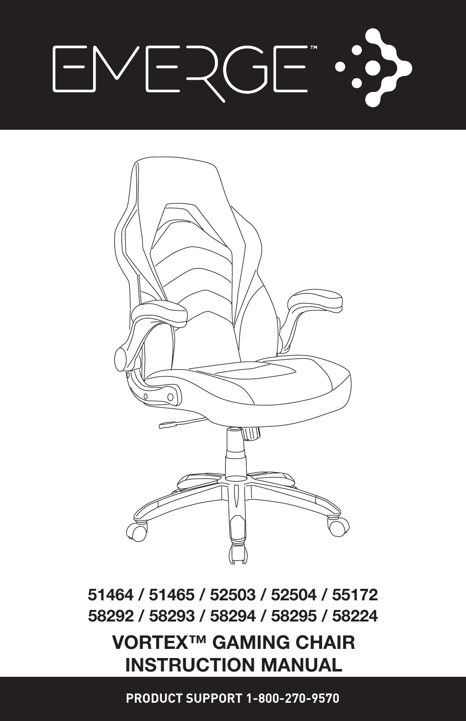# VERGE ...  $\vdash$



51464 / 51465 / 52503 / 52504 / 55172 58292 / 58293 / 58294 / 58295 / 58224

### VORTEX™ GAMING CHAIR INSTRUCTION MANUAL

**PRODUCT SUPPORT 1-800-270-9570**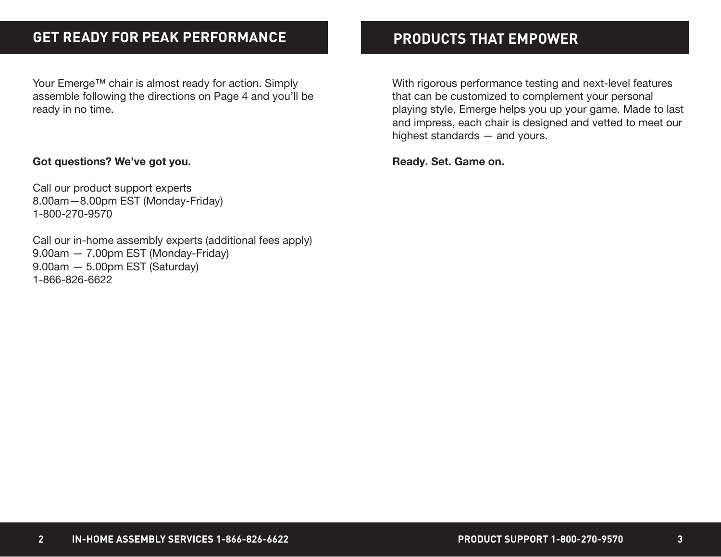### **GET READY FOR PEAK PERFORMANCE PRODUCTS THAT EMPOWER**

Your Emerge™ chair is almost ready for action. Simply assemble following the directions on Page 4 and you'll be ready in no time.

### Got questions? We've got you.

Call our product support experts 8.00am—8.00pm EST (Monday-Friday) 1-800-270-9570

Call our in-home assembly experts (additional fees apply) 9.00am — 7.00pm EST (Monday-Friday) 9.00am — 5.00pm EST (Saturday) 1-866-826-6622

With rigorous performance testing and next-level features that can be customized to complement your personal playing style, Emerge helps you up your game. Made to last and impress, each chair is designed and vetted to meet our highest standards — and yours.

Ready. Set. Game on.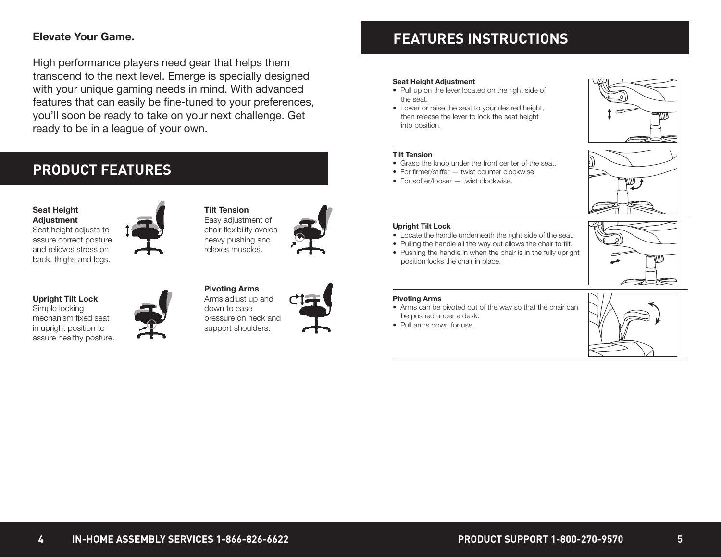### Elevate Your Game.

High performance players need gear that helps them transcend to the next level. Emerge is specially designed with your unique gaming needs in mind. With advanced features that can easily be fine-tuned to your preferences, you'll soon be ready to take on your next challenge. Get ready to be in a league of your own.

### **PRODUCT FEATURES**

### Seat Height **Adjustment**

Seat height adjusts to assure correct posture and relieves stress on back, thighs and legs.

Upright Tilt Lock Simple locking mechanism fixed seat in upright position to assure healthy posture.





### Easy adjustment of chair flexibility avoids heavy pushing and relaxes muscles.

Tilt Tension

Pivoting Arms Arms adjust up and down to ease pressure on neck and support shoulders.



### **FEATURES INSTRUCTIONS**

#### Seat Height Adjustment

- Pull up on the lever located on the right side of the seat.
- Lower or raise the seat to your desired height, then release the lever to lock the seat height into position.



#### Tilt Tension

- Grasp the knob under the front center of the seat.
- For firmer/stiffer twist counter clockwise.
- For softer/looser twist clockwise.



#### Upright Tilt Lock

- Locate the handle underneath the right side of the seat.
- Pulling the handle all the way out allows the chair to tilt.
- Pushing the handle in when the chair is in the fully upright position locks the chair in place.

#### Pivoting Arms

- Arms can be pivoted out of the way so that the chair can be pushed under a desk.
- Pull arms down for use.



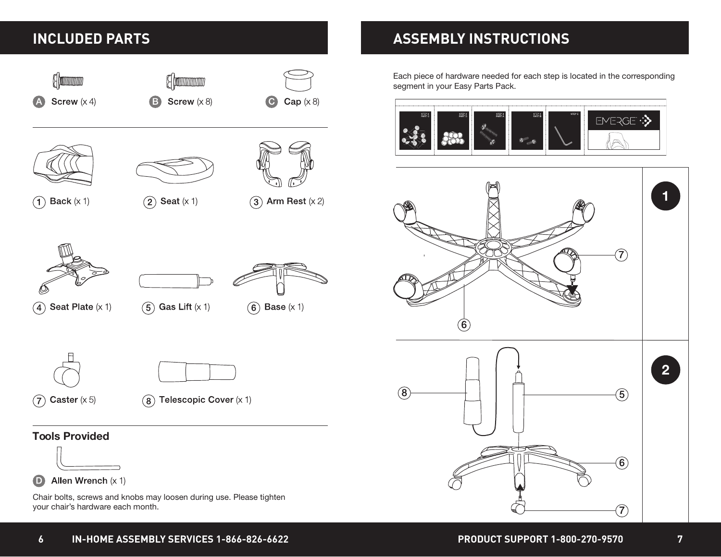

### **INCLUDED PARTS ASSEMBLY INSTRUCTIONS**

Each piece of hardware needed for each step is located in the corresponding segment in your Easy Parts Pack.



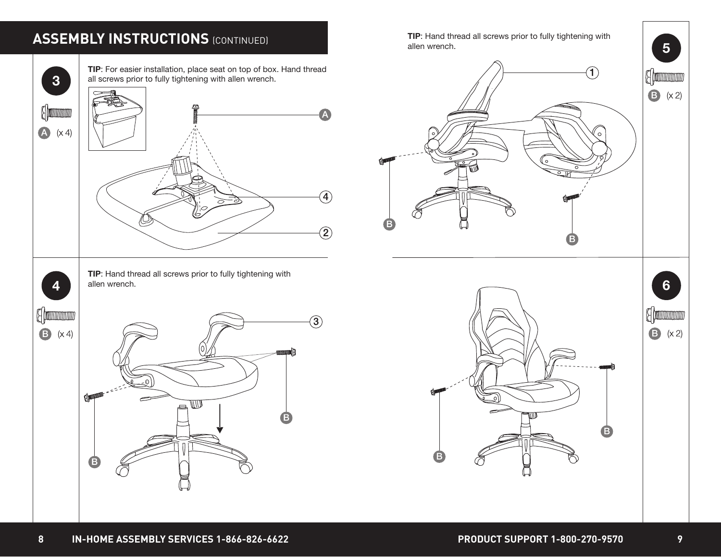

# **ASSEMBLY INSTRUCTIONS (CONTINUED)**

**5**

 $\bullet$  (x 2)

(Frammun)

 $\bullet$  (x 2)

**A** (monomono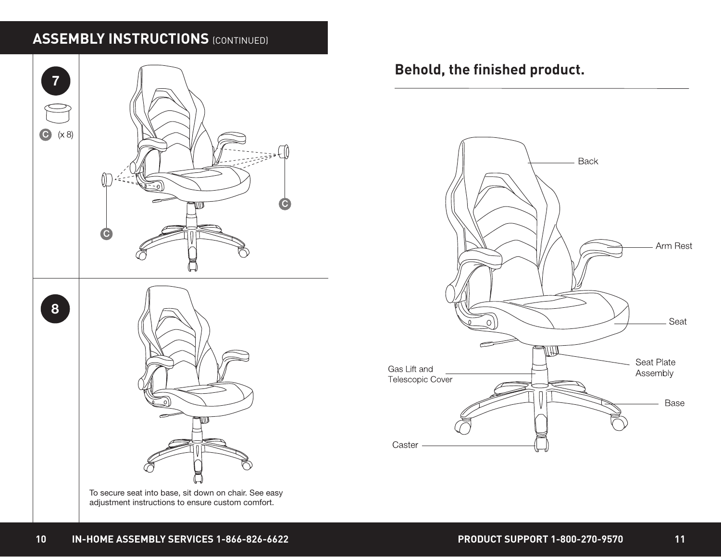# **ASSEMBLY INSTRUCTIONS (CONTINUED)**



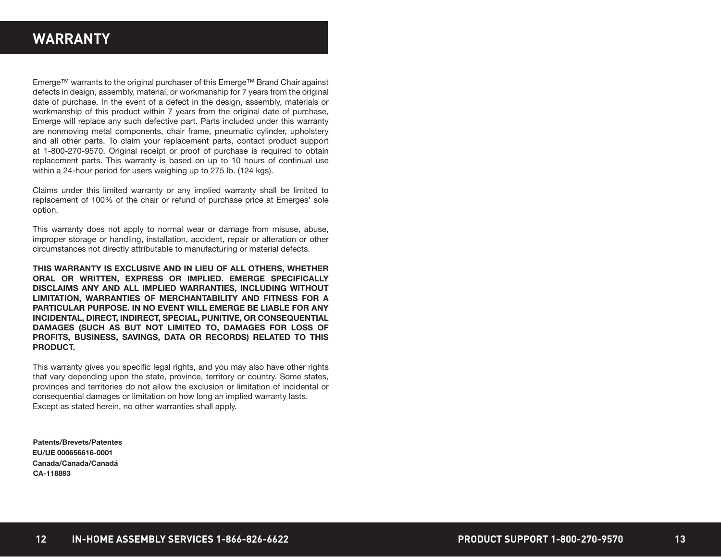### **WARRANTY**

Emerge™ warrants to the original purchaser of this Emerge™ Brand Chair against defects in design, assembly, material, or workmanship for 7 years from the original date of purchase. In the event of a defect in the design, assembly, materials or workmanship of this product within 7 years from the original date of purchase, Emerge will replace any such defective part. Parts included under this warranty are nonmoving metal components, chair frame, pneumatic cylinder, upholstery and all other parts. To claim your replacement parts, contact product support at 1-800-270-9570. Original receipt or proof of purchase is required to obtain replacement parts. This warranty is based on up to 10 hours of continual use within a 24-hour period for users weighing up to 275 lb. (124 kgs).

Claims under this limited warranty or any implied warranty shall be limited to replacement of 100% of the chair or refund of purchase price at Emerges' sole option.

This warranty does not apply to normal wear or damage from misuse, abuse, improper storage or handling, installation, accident, repair or alteration or other circumstances not directly attributable to manufacturing or material defects.

THIS WARRANTY IS EXCLUSIVE AND IN LIEU OF ALL OTHERS, WHETHER ORAL OR WRITTEN, EXPRESS OR IMPLIED. EMERGE SPECIFICALLY DISCLAIMS ANY AND ALL IMPLIED WARRANTIES, INCLUDING WITHOUT LIMITATION, WARRANTIES OF MERCHANTABILITY AND FITNESS FOR A PARTICULAR PURPOSE. IN NO EVENT WILL EMERGE BE LIABLE FOR ANY INCIDENTAL, DIRECT, INDIRECT, SPECIAL, PUNITIVE, OR CONSEQUENTIAL DAMAGES (SUCH AS BUT NOT LIMITED TO, DAMAGES FOR LOSS OF PROFITS, BUSINESS, SAVINGS, DATA OR RECORDS) RELATED TO THIS PRODUCT.

This warranty gives you specific legal rights, and you may also have other rights that vary depending upon the state, province, territory or country. Some states, provinces and territories do not allow the exclusion or limitation of incidental or consequential damages or limitation on how long an implied warranty lasts. Except as stated herein, no other warranties shall apply.

Patents/Brevets/Patentes EU/UE 000656616-0001 Canada/Canada/Canadá CA-118893